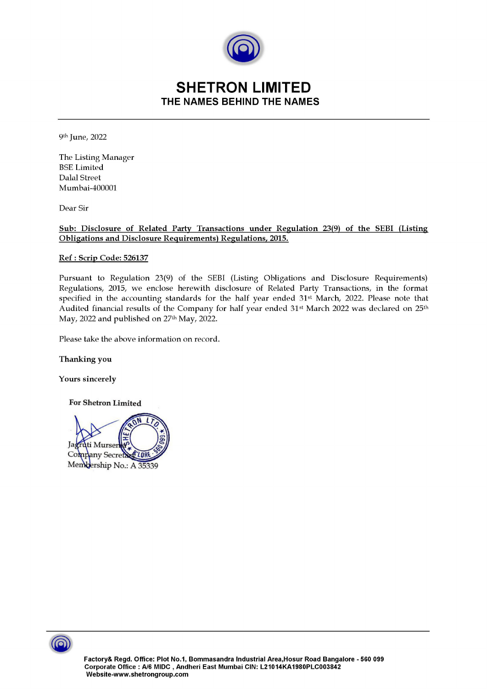

## SHETRON LIMITED SHETROM THE NAMES BEHIND THE NAMES

9th June, 2022

The Listing Manager BSE Limited Dalal Street Mumbai-400001

Dear Sir

Sub: Disclosure of Related Party Transactions under Regulation 23(9) of the SEBI (Listing **SHETRON LIMIT**<br>THE NAMES BEHIND THE N<br><sup>9th</sup> June, 2022<br>The Listing Manager<br>BSE Limited<br>Dalal Street<br>Mumbai-400001<br>Dear Sir<br>Sub: Disclosure of Related Party Transactions under Regulations, 2015.

## Ref : Scrip Code: 526137

Pursuant to Regulation 23(9) of the SEBI (Listing Obligations and Disclosure Requirements) Regulations, 2015, we enclose herewith disclosure of Related Party Transactions, in the format specified in the accounting standards for the half year ended 31st March, 2022. Please note that Audited financial results of the Company for half year ended 31st March 2022 was declared on 25th May, 2022 and published on  $27<sup>th</sup>$  May, 2022.

Please take the above information on record.

Thanking you

Yours sincerely

For Shetron Limited